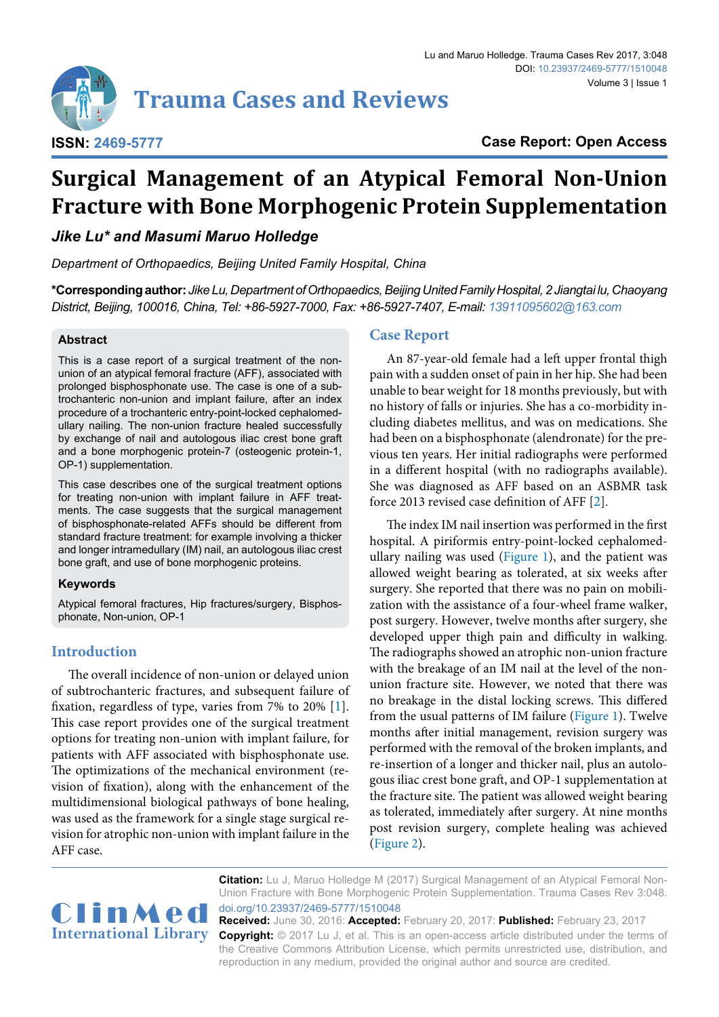

**Case Report: Open Access**

# **Surgical Management of an Atypical Femoral Non-Union Fracture with Bone Morphogenic Protein Supplementation**

*Jike Lu\* and Masumi Maruo Holledge*

*Department of Orthopaedics, Beijing United Family Hospital, China*

**\*Corresponding author:** *Jike Lu, Department of Orthopaedics, Beijing United Family Hospital, 2 Jiangtai lu, Chaoyang District, Beijing, 100016, China, Tel: +86-5927-7000, Fax: +86-5927-7407, E-mail: 13911095602@163.com*

#### **Abstract**

This is a case report of a surgical treatment of the nonunion of an atypical femoral fracture (AFF), associated with prolonged bisphosphonate use. The case is one of a subtrochanteric non-union and implant failure, after an index procedure of a trochanteric entry-point-locked cephalomedullary nailing. The non-union fracture healed successfully by exchange of nail and autologous iliac crest bone graft and a bone morphogenic protein-7 (osteogenic protein-1, OP-1) supplementation.

This case describes one of the surgical treatment options for treating non-union with implant failure in AFF treatments. The case suggests that the surgical management of bisphosphonate-related AFFs should be different from standard fracture treatment: for example involving a thicker and longer intramedullary (IM) nail, an autologous iliac crest bone graft, and use of bone morphogenic proteins.

#### **Keywords**

Atypical femoral fractures, Hip fractures/surgery, Bisphosphonate, Non-union, OP-1

# **Introduction**

The overall incidence of non-union or delayed union of subtrochanteric fractures, and subsequent failure of fixation, regardless of type, varies from 7% to 20% [\[1\]](#page-2-0). This case report provides one of the surgical treatment options for treating non-union with implant failure, for patients with AFF associated with bisphosphonate use. The optimizations of the mechanical environment (revision of fixation), along with the enhancement of the multidimensional biological pathways of bone healing, was used as the framework for a single stage surgical revision for atrophic non-union with implant failure in the AFF case.

### **Case Report**

An 87-year-old female had a left upper frontal thigh pain with a sudden onset of pain in her hip. She had been unable to bear weight for 18 months previously, but with no history of falls or injuries. She has a co-morbidity including diabetes mellitus, and was on medications. She had been on a bisphosphonate (alendronate) for the previous ten years. Her initial radiographs were performed in a different hospital (with no radiographs available). She was diagnosed as AFF based on an ASBMR task force 2013 revised case definition of AFF [[2](#page-2-1)].

The index IM nail insertion was performed in the first hospital. A piriformis entry-point-locked cephalomedullary nailing was used ([Figure 1](#page-1-0)), and the patient was allowed weight bearing as tolerated, at six weeks after surgery. She reported that there was no pain on mobilization with the assistance of a four-wheel frame walker, post surgery. However, twelve months after surgery, she developed upper thigh pain and difficulty in walking. The radiographs showed an atrophic non-union fracture with the breakage of an IM nail at the level of the nonunion fracture site. However, we noted that there was no breakage in the distal locking screws. This differed from the usual patterns of IM failure ([Figure 1](#page-1-0)). Twelve months after initial management, revision surgery was performed with the removal of the broken implants, and re-insertion of a longer and thicker nail, plus an autologous iliac crest bone graft, and OP-1 supplementation at the fracture site. The patient was allowed weight bearing as tolerated, immediately after surgery. At nine months post revision surgery, complete healing was achieved ([Figure 2](#page-1-1)).



**Citation:** Lu J, Maruo Holledge M (2017) Surgical Management of an Atypical Femoral Non-Union Fracture with Bone Morphogenic Protein Supplementation. Trauma Cases Rev 3:048. [doi.org/10.23937/2469-5777/1510048](https://doi.org/10.23937/2469-5777/1510048)

**Received:** June 30, 2016: **Accepted:** February 20, 2017: **Published:** February 23, 2017 **Copyright:** © 2017 Lu J, et al. This is an open-access article distributed under the terms of the Creative Commons Attribution License, which permits unrestricted use, distribution, and reproduction in any medium, provided the original author and source are credited.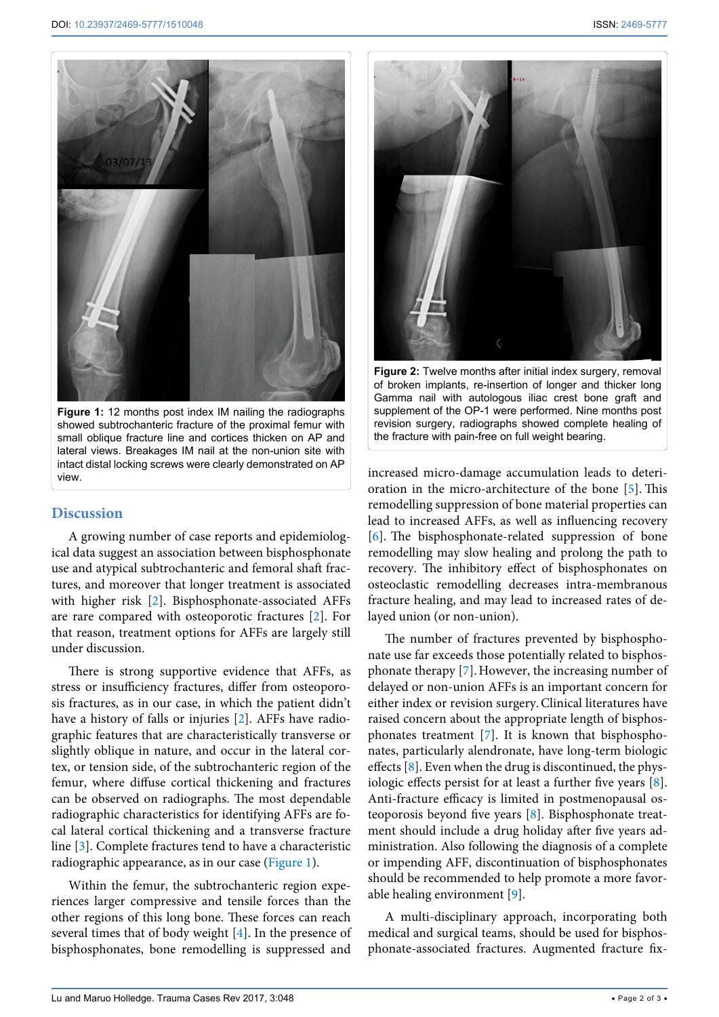<span id="page-1-0"></span>

**Figure 1:** 12 months post index IM nailing the radiographs showed subtrochanteric fracture of the proximal femur with small oblique fracture line and cortices thicken on AP and lateral views. Breakages IM nail at the non-union site with intact distal locking screws were clearly demonstrated on AP view.

## **Discussion**

A growing number of case reports and epidemiological data suggest an association between bisphosphonate use and atypical subtrochanteric and femoral shaft fractures, and moreover that longer treatment is associated with higher risk [\[2](#page-2-1)]. Bisphosphonate-associated AFFs are rare compared with osteoporotic fractures [[2\]](#page-2-1). For that reason, treatment options for AFFs are largely still under discussion.

There is strong supportive evidence that AFFs, as stress or insufficiency fractures, differ from osteoporosis fractures, as in our case, in which the patient didn't have a history of falls or injuries [\[2\]](#page-2-1). AFFs have radiographic features that are characteristically transverse or slightly oblique in nature, and occur in the lateral cortex, or tension side, of the subtrochanteric region of the femur, where diffuse cortical thickening and fractures can be observed on radiographs. The most dependable radiographic characteristics for identifying AFFs are focal lateral cortical thickening and a transverse fracture line [\[3\]](#page-2-7). Complete fractures tend to have a characteristic radiographic appearance, as in our case [\(Figure 1](#page-1-0)).

Within the femur, the subtrochanteric region experiences larger compressive and tensile forces than the other regions of this long bone. These forces can reach several times that of body weight [\[4](#page-2-8)]. In the presence of bisphosphonates, bone remodelling is suppressed and

<span id="page-1-1"></span>

**Figure 2:** Twelve months after initial index surgery, removal of broken implants, re-insertion of longer and thicker long Gamma nail with autologous iliac crest bone graft and supplement of the OP-1 were performed. Nine months post revision surgery, radiographs showed complete healing of the fracture with pain-free on full weight bearing.

increased micro-damage accumulation leads to deterioration in the micro-architecture of the bone [\[5](#page-2-2)]. This remodelling suppression of bone material properties can lead to increased AFFs, as well as influencing recovery [[6\]](#page-2-3). The bisphosphonate-related suppression of bone remodelling may slow healing and prolong the path to recovery. The inhibitory effect of bisphosphonates on osteoclastic remodelling decreases intra-membranous fracture healing, and may lead to increased rates of delayed union (or non-union).

The number of fractures prevented by bisphosphonate use far exceeds those potentially related to bisphosphonate therapy [\[7\]](#page-2-4).However, the increasing number of delayed or non-union AFFs is an important concern for either index or revision surgery.Clinical literatures have raised concern about the appropriate length of bisphosphonates treatment [\[7](#page-2-4)]. It is known that bisphosphonates, particularly alendronate, have long-term biologic effects [\[8](#page-2-5)]. Even when the drug is discontinued, the physiologic effects persist for at least a further five years [\[8](#page-2-5)]. Anti-fracture efficacy is limited in postmenopausal osteoporosis beyond five years [\[8](#page-2-5)]. Bisphosphonate treatment should include a drug holiday after five years administration. Also following the diagnosis of a complete or impending AFF, discontinuation of bisphosphonates should be recommended to help promote a more favorable healing environment [[9\]](#page-2-6).

A multi-disciplinary approach, incorporating both medical and surgical teams, should be used for bisphosphonate-associated fractures. Augmented fracture fix-